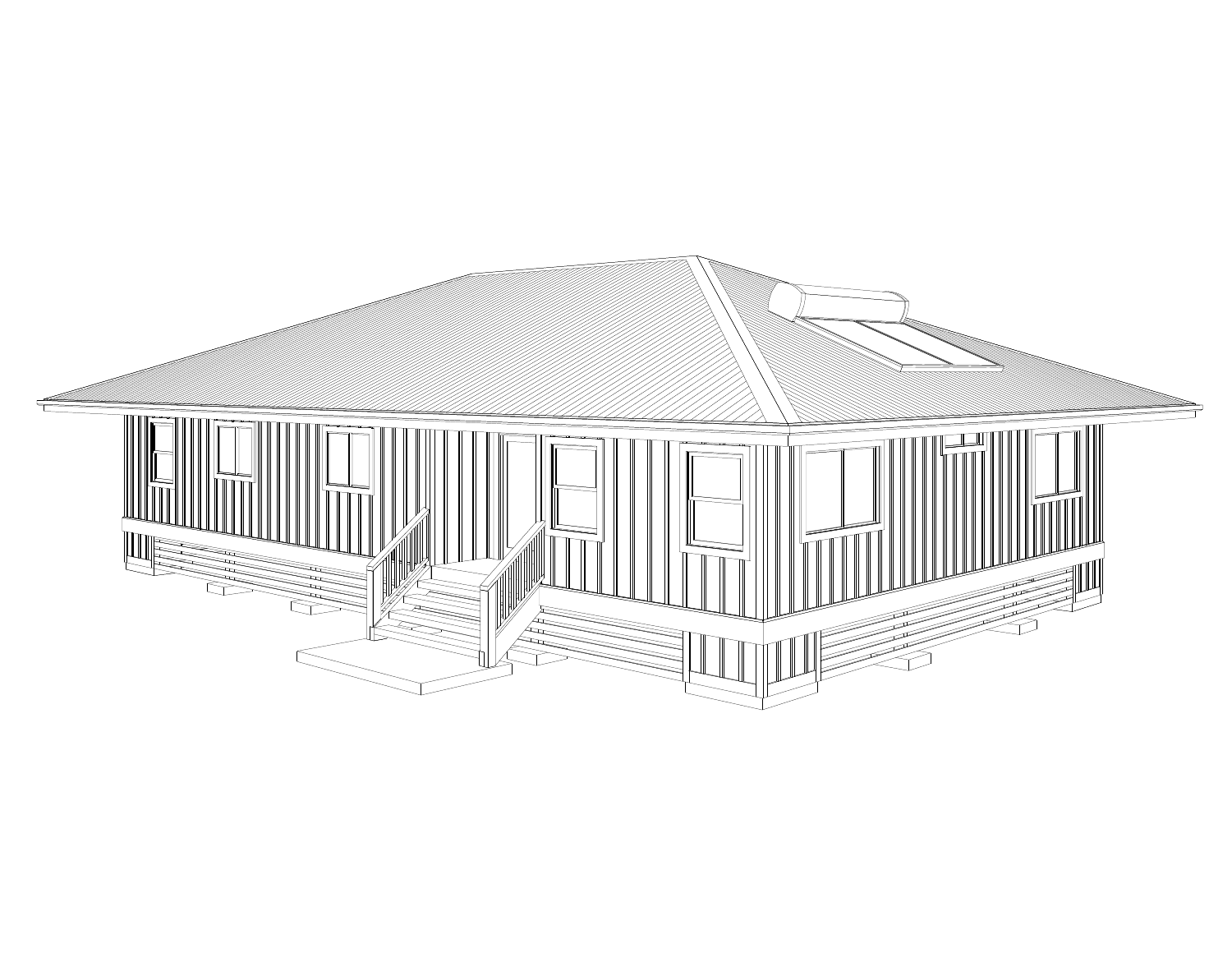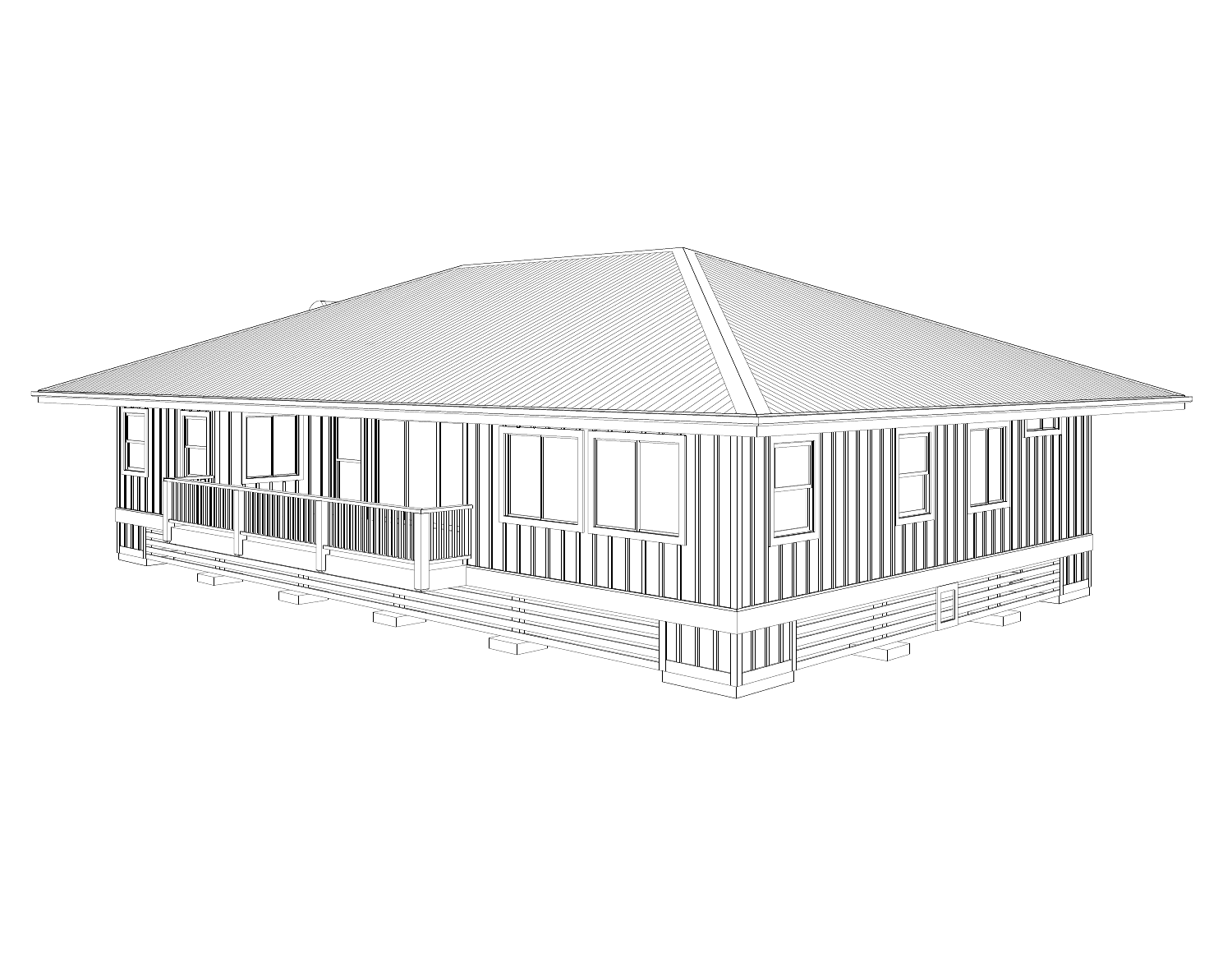